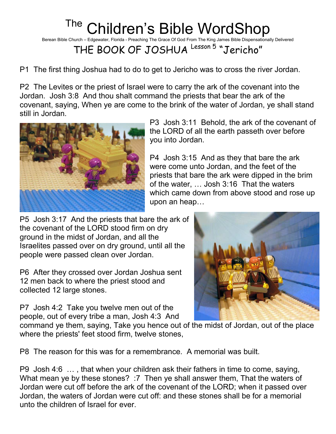## <sup>The</sup> Children's Bible WordShop

Berean Bible Church – Edgewater, Florida - Preaching The Grace Of God From The King James Bible Dispensationally Delivered

THE BOOK OF JOSHUA Lesson 5 "Jericho"

P1 The first thing Joshua had to do to get to Jericho was to cross the river Jordan.

P2 The Levites or the priest of Israel were to carry the ark of the covenant into the Jordan. Josh 3:8 And thou shalt command the priests that bear the ark of the covenant, saying, When ye are come to the brink of the water of Jordan, ye shall stand still in Jordan.



P3 Josh 3:11 Behold, the ark of the covenant of the LORD of all the earth passeth over before you into Jordan.

P4 Josh 3:15 And as they that bare the ark were come unto Jordan, and the feet of the priests that bare the ark were dipped in the brim of the water, … Josh 3:16 That the waters which came down from above stood and rose up upon an heap…

P5 Josh 3:17 And the priests that bare the ark of the covenant of the LORD stood firm on dry ground in the midst of Jordan, and all the Israelites passed over on dry ground, until all the people were passed clean over Jordan.

P6 After they crossed over Jordan Joshua sent 12 men back to where the priest stood and collected 12 large stones.

P7 Josh 4:2 Take you twelve men out of the people, out of every tribe a man, Josh 4:3 And



command ye them, saying, Take you hence out of the midst of Jordan, out of the place where the priests' feet stood firm, twelve stones,

P8 The reason for this was for a remembrance. A memorial was built.

P9 Josh 4:6 … , that when your children ask their fathers in time to come, saying, What mean ye by these stones? :7 Then ye shall answer them, That the waters of Jordan were cut off before the ark of the covenant of the LORD; when it passed over Jordan, the waters of Jordan were cut off: and these stones shall be for a memorial unto the children of Israel for ever.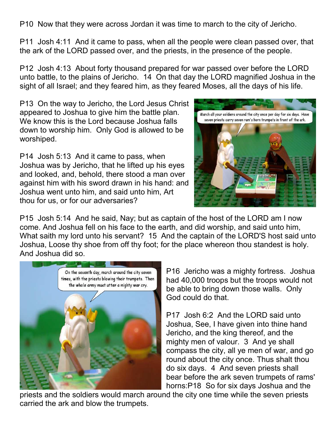P10 Now that they were across Jordan it was time to march to the city of Jericho.

P11 Josh 4:11 And it came to pass, when all the people were clean passed over, that the ark of the LORD passed over, and the priests, in the presence of the people.

P12 Josh 4:13 About forty thousand prepared for war passed over before the LORD unto battle, to the plains of Jericho. 14 On that day the LORD magnified Joshua in the sight of all Israel; and they feared him, as they feared Moses, all the days of his life.

P13 On the way to Jericho, the Lord Jesus Christ appeared to Joshua to give him the battle plan. We know this is the Lord because Joshua falls down to worship him. Only God is allowed to be worshiped.

P14 Josh 5:13 And it came to pass, when Joshua was by Jericho, that he lifted up his eyes and looked, and, behold, there stood a man over against him with his sword drawn in his hand: and Joshua went unto him, and said unto him, Art thou for us, or for our adversaries?



P15 Josh 5:14 And he said, Nay; but as captain of the host of the LORD am I now come. And Joshua fell on his face to the earth, and did worship, and said unto him, What saith my lord unto his servant? 15 And the captain of the LORD'S host said unto Joshua, Loose thy shoe from off thy foot; for the place whereon thou standest is holy. And Joshua did so.



P16 Jericho was a mighty fortress. Joshua had 40,000 troops but the troops would not be able to bring down those walls. Only God could do that.

P17 Josh 6:2 And the LORD said unto Joshua, See, I have given into thine hand Jericho, and the king thereof, and the mighty men of valour. 3 And ye shall compass the city, all ye men of war, and go round about the city once. Thus shalt thou do six days. 4 And seven priests shall bear before the ark seven trumpets of rams' horns:P18 So for six days Joshua and the

priests and the soldiers would march around the city one time while the seven priests carried the ark and blow the trumpets.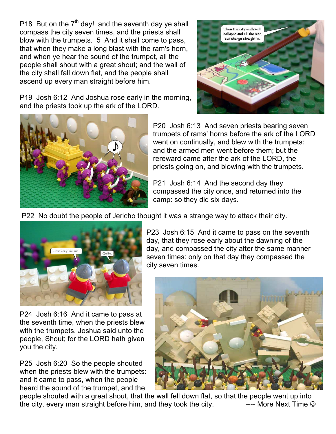P18 But on the  $7<sup>th</sup>$  day! and the seventh day ye shall compass the city seven times, and the priests shall blow with the trumpets. 5 And it shall come to pass, that when they make a long blast with the ram's horn, and when ye hear the sound of the trumpet, all the people shall shout with a great shout; and the wall of the city shall fall down flat, and the people shall ascend up every man straight before him.

Then the city walls will collapse and all the men can charge straight in.

P19 Josh 6:12 And Joshua rose early in the morning, and the priests took up the ark of the LORD.



P20 Josh 6:13 And seven priests bearing seven trumpets of rams' horns before the ark of the LORD went on continually, and blew with the trumpets: and the armed men went before them; but the rereward came after the ark of the LORD, the priests going on, and blowing with the trumpets.

P21 Josh 6:14 And the second day they compassed the city once, and returned into the camp: so they did six days.

P22 No doubt the people of Jericho thought it was a strange way to attack their city.



P24 Josh 6:16 And it came to pass at the seventh time, when the priests blew with the trumpets, Joshua said unto the people, Shout; for the LORD hath given you the city.

P25 Josh 6:20 So the people shouted when the priests blew with the trumpets: and it came to pass, when the people heard the sound of the trumpet, and the

P23 Josh 6:15 And it came to pass on the seventh day, that they rose early about the dawning of the day, and compassed the city after the same manner seven times: only on that day they compassed the city seven times.



people shouted with a great shout, that the wall fell down flat, so that the people went up into the city, every man straight before him, and they took the city.  $\blacksquare$  ---- More Next Time  $\odot$